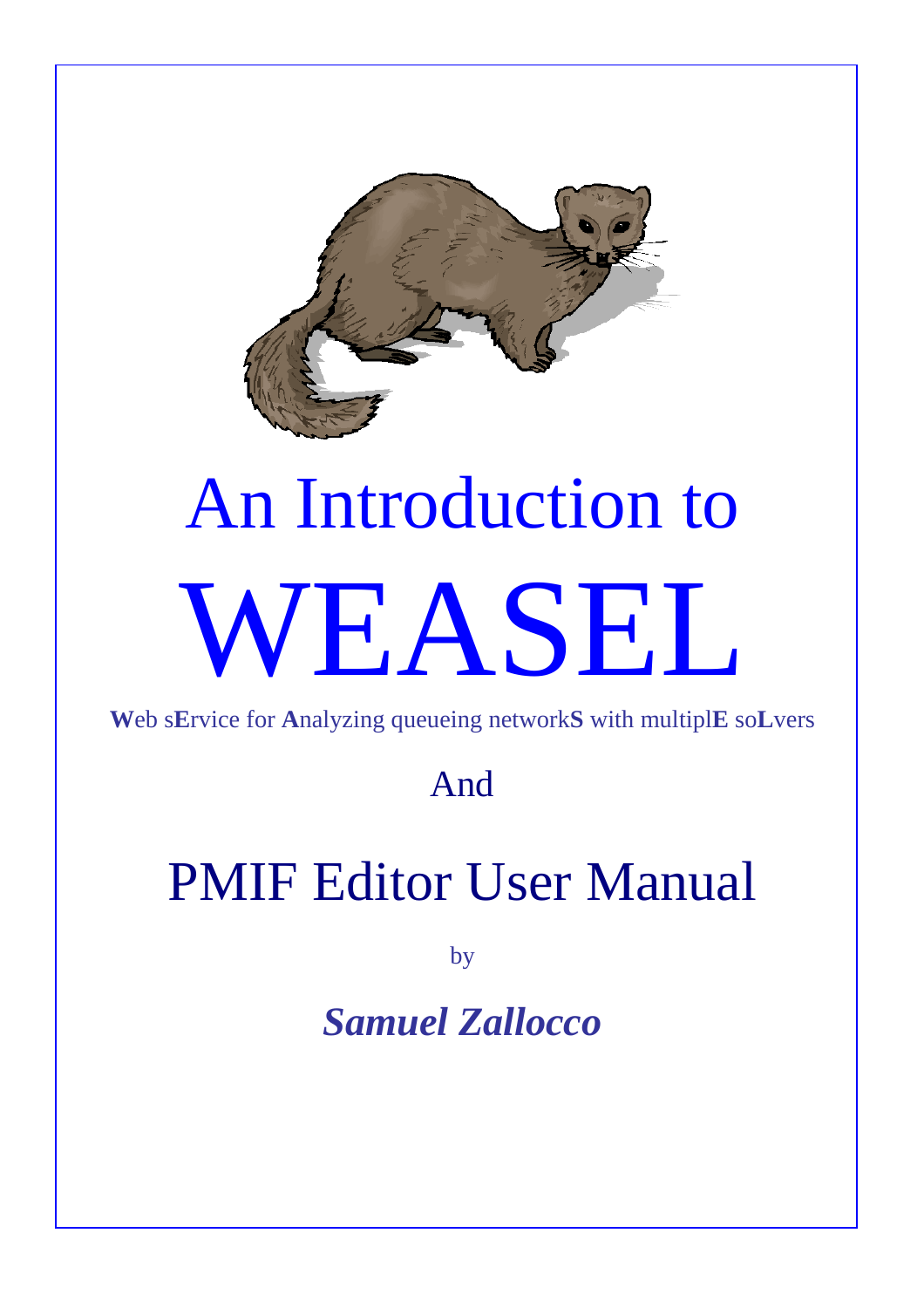

# An Introduction to WEASEL

**W**eb s**E**rvice for **A**nalyzing queueing network**S** with multipl**E** so**L**vers

And

# PMIF Editor User Manual

by

*Samuel Zallocco*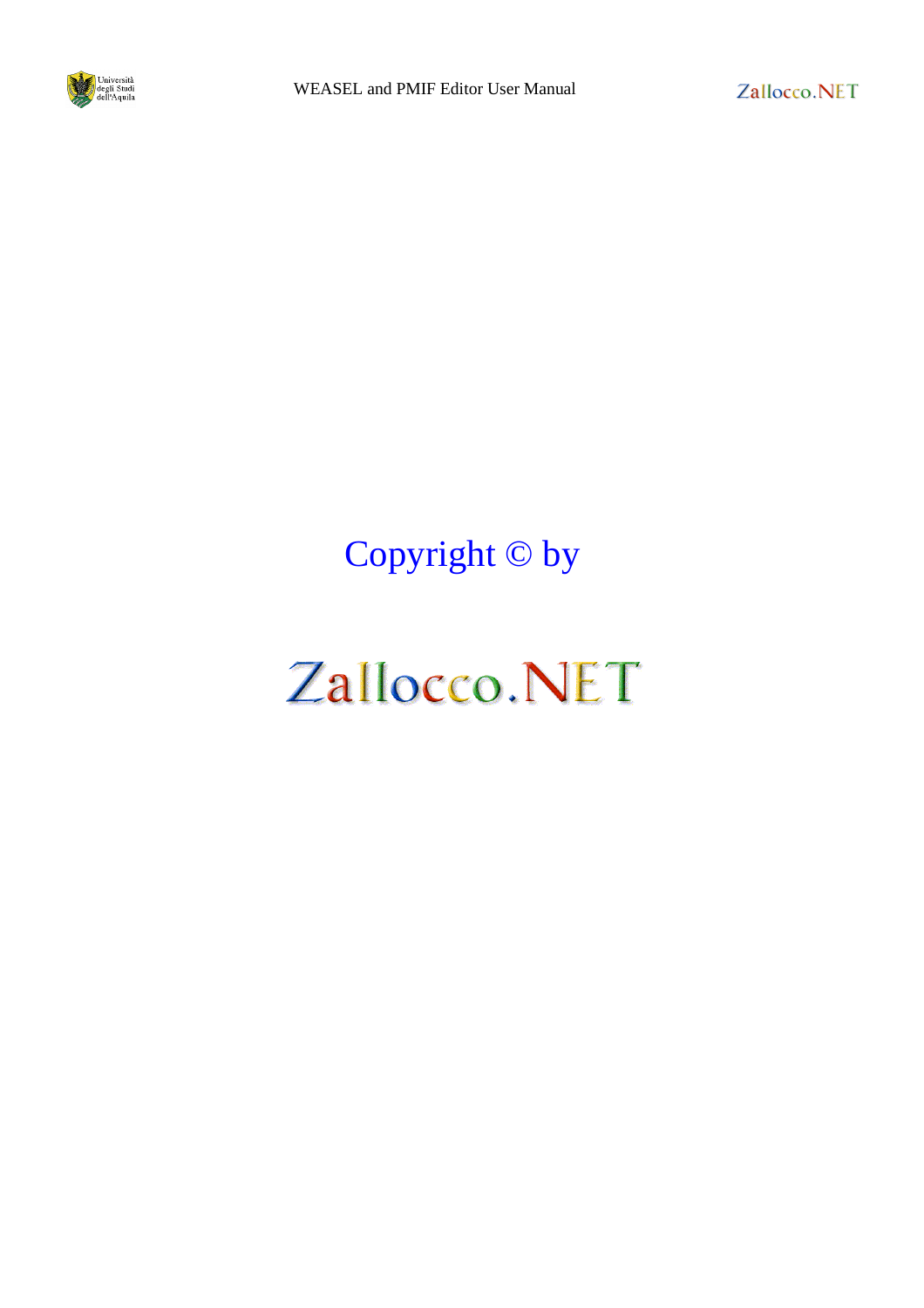

Copyright © by

# Zallocco.NET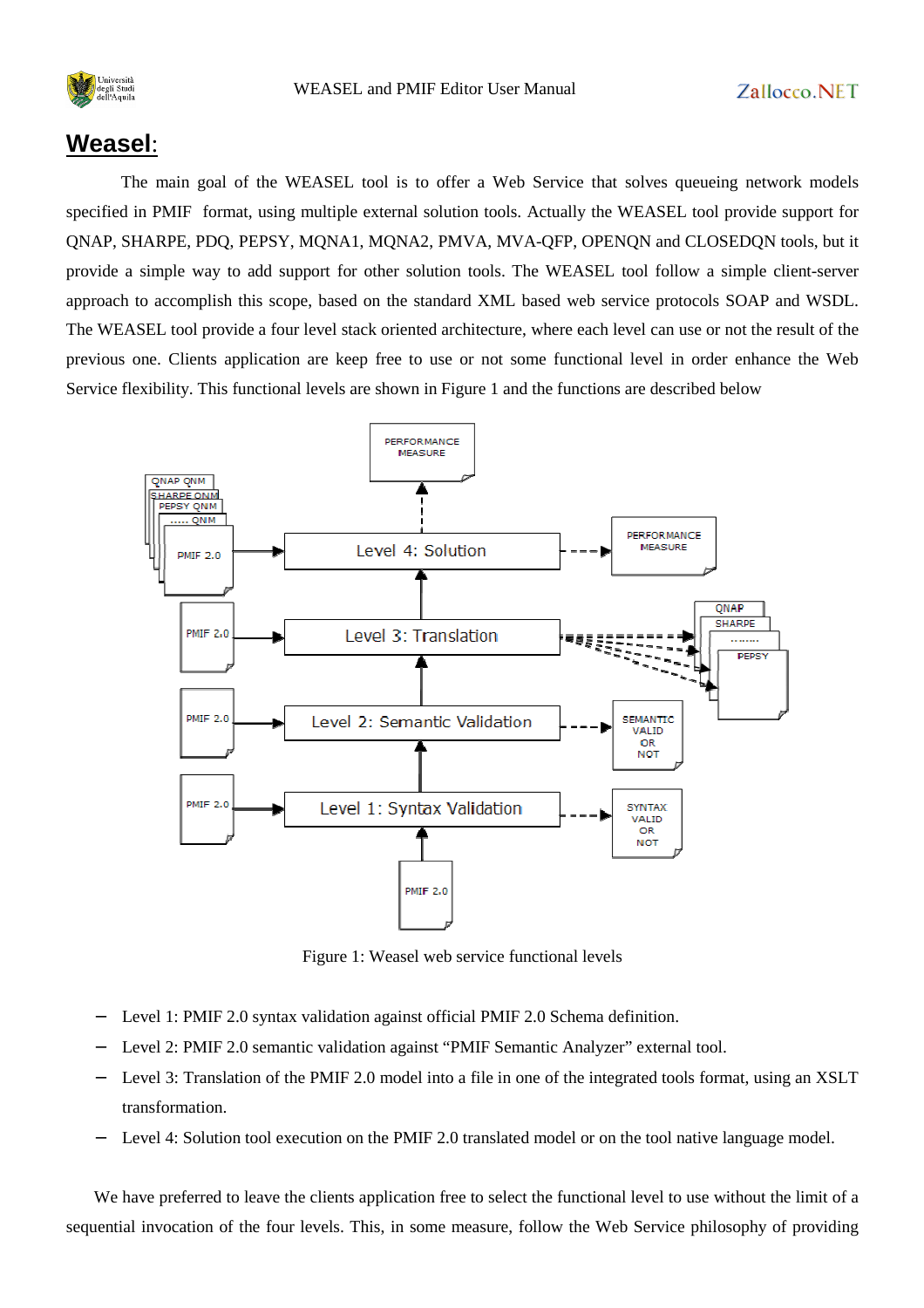

#### **Weasel**:

The main goal of the WEASEL tool is to offer a Web Service that solves queueing network models specified in PMIF format, using multiple external solution tools. Actually the WEASEL tool provide support for QNAP, SHARPE, PDQ, PEPSY, MQNA1, MQNA2, PMVA, MVA-QFP, OPENQN and CLOSEDQN tools, but it provide a simple way to add support for other solution tools. The WEASEL tool follow a simple client-server approach to accomplish this scope, based on the standard XML based web service protocols SOAP and WSDL. The WEASEL tool provide a four level stack oriented architecture, where each level can use or not the result of the previous one. Clients application are keep free to use or not some functional level in order enhance the Web Service flexibility. This functional levels are shown in Figure 1 and the functions are described below



Figure 1: Weasel web service functional levels

- − Level 1: PMIF 2.0 syntax validation against official PMIF 2.0 Schema definition.
- Level 2: PMIF 2.0 semantic validation against "PMIF Semantic Analyzer" external tool.
- − Level 3: Translation of the PMIF 2.0 model into a file in one of the integrated tools format, using an XSLT transformation.
- − Level 4: Solution tool execution on the PMIF 2.0 translated model or on the tool native language model.

We have preferred to leave the clients application free to select the functional level to use without the limit of a sequential invocation of the four levels. This, in some measure, follow the Web Service philosophy of providing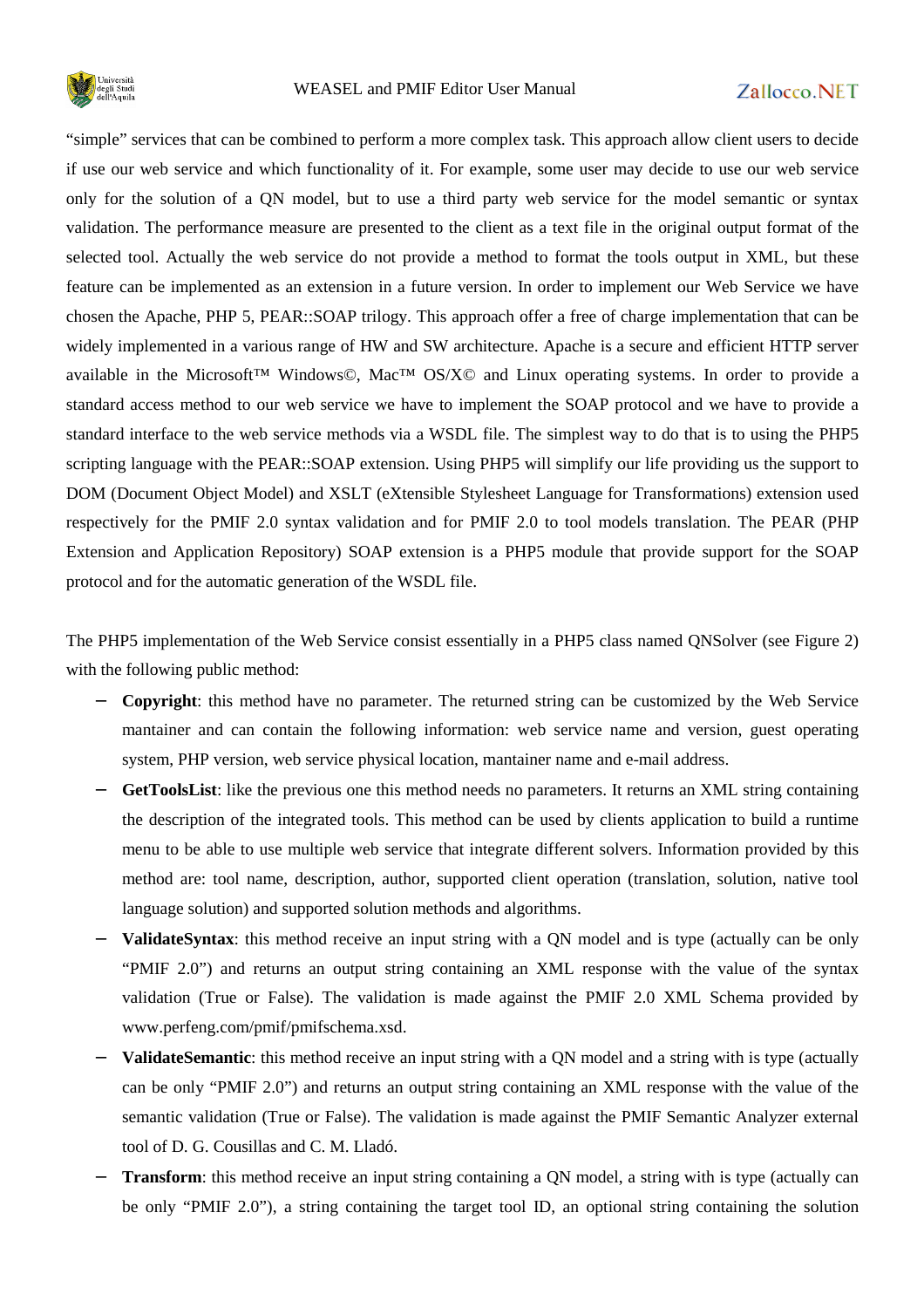

"simple" services that can be combined to perform a more complex task. This approach allow client users to decide if use our web service and which functionality of it. For example, some user may decide to use our web service only for the solution of a QN model, but to use a third party web service for the model semantic or syntax validation. The performance measure are presented to the client as a text file in the original output format of the selected tool. Actually the web service do not provide a method to format the tools output in XML, but these feature can be implemented as an extension in a future version. In order to implement our Web Service we have chosen the Apache, PHP 5, PEAR::SOAP trilogy. This approach offer a free of charge implementation that can be widely implemented in a various range of HW and SW architecture. Apache is a secure and efficient HTTP server available in the Microsoft™ Windows©, Mac™ OS/X© and Linux operating systems. In order to provide a standard access method to our web service we have to implement the SOAP protocol and we have to provide a standard interface to the web service methods via a WSDL file. The simplest way to do that is to using the PHP5 scripting language with the PEAR::SOAP extension. Using PHP5 will simplify our life providing us the support to DOM (Document Object Model) and XSLT (eXtensible Stylesheet Language for Transformations) extension used respectively for the PMIF 2.0 syntax validation and for PMIF 2.0 to tool models translation. The PEAR (PHP Extension and Application Repository) SOAP extension is a PHP5 module that provide support for the SOAP protocol and for the automatic generation of the WSDL file.

The PHP5 implementation of the Web Service consist essentially in a PHP5 class named QNSolver (see Figure 2) with the following public method:

- − **Copyright**: this method have no parameter. The returned string can be customized by the Web Service mantainer and can contain the following information: web service name and version, guest operating system, PHP version, web service physical location, mantainer name and e-mail address.
- − **GetToolsList**: like the previous one this method needs no parameters. It returns an XML string containing the description of the integrated tools. This method can be used by clients application to build a runtime menu to be able to use multiple web service that integrate different solvers. Information provided by this method are: tool name, description, author, supported client operation (translation, solution, native tool language solution) and supported solution methods and algorithms.
- **ValidateSyntax**: this method receive an input string with a QN model and is type (actually can be only "PMIF 2.0") and returns an output string containing an XML response with the value of the syntax validation (True or False). The validation is made against the PMIF 2.0 XML Schema provided by www.perfeng.com/pmif/pmifschema.xsd.
- − **ValidateSemantic**: this method receive an input string with a QN model and a string with is type (actually can be only "PMIF 2.0") and returns an output string containing an XML response with the value of the semantic validation (True or False). The validation is made against the PMIF Semantic Analyzer external tool of D. G. Cousillas and C. M. Lladó.
- **Transform**: this method receive an input string containing a QN model, a string with is type (actually can be only "PMIF 2.0"), a string containing the target tool ID, an optional string containing the solution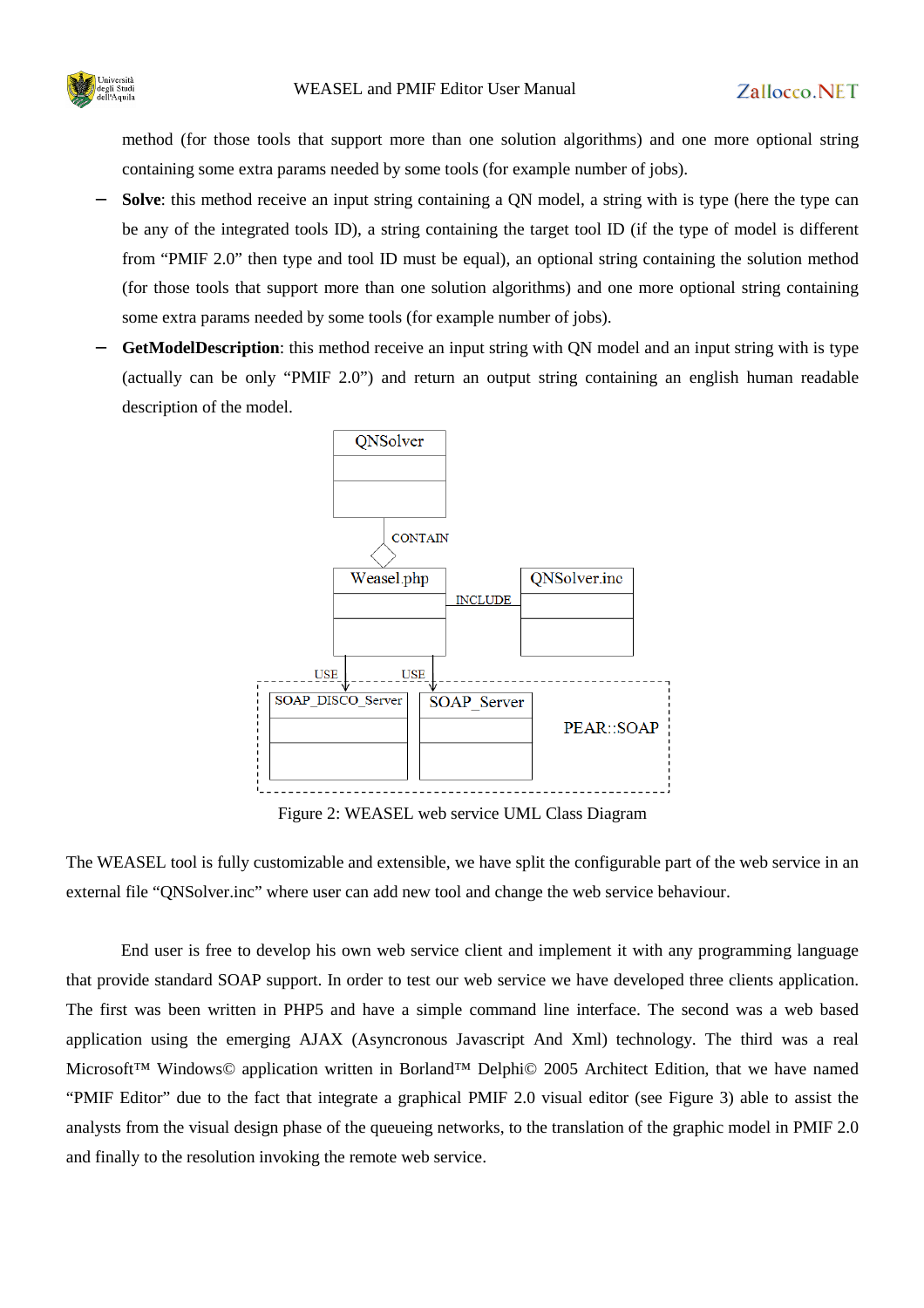

method (for those tools that support more than one solution algorithms) and one more optional string containing some extra params needed by some tools (for example number of jobs).

- **Solve**: this method receive an input string containing a ON model, a string with is type (here the type can be any of the integrated tools ID), a string containing the target tool ID (if the type of model is different from "PMIF 2.0" then type and tool ID must be equal), an optional string containing the solution method (for those tools that support more than one solution algorithms) and one more optional string containing some extra params needed by some tools (for example number of jobs).
- **GetModelDescription**: this method receive an input string with QN model and an input string with is type (actually can be only "PMIF 2.0") and return an output string containing an english human readable description of the model.



Figure 2: WEASEL web service UML Class Diagram

The WEASEL tool is fully customizable and extensible, we have split the configurable part of the web service in an external file "QNSolver.inc" where user can add new tool and change the web service behaviour.

End user is free to develop his own web service client and implement it with any programming language that provide standard SOAP support. In order to test our web service we have developed three clients application. The first was been written in PHP5 and have a simple command line interface. The second was a web based application using the emerging AJAX (Asyncronous Javascript And Xml) technology. The third was a real Microsoft™ Windows© application written in Borland™ Delphi© 2005 Architect Edition, that we have named "PMIF Editor" due to the fact that integrate a graphical PMIF 2.0 visual editor (see Figure 3) able to assist the analysts from the visual design phase of the queueing networks, to the translation of the graphic model in PMIF 2.0 and finally to the resolution invoking the remote web service.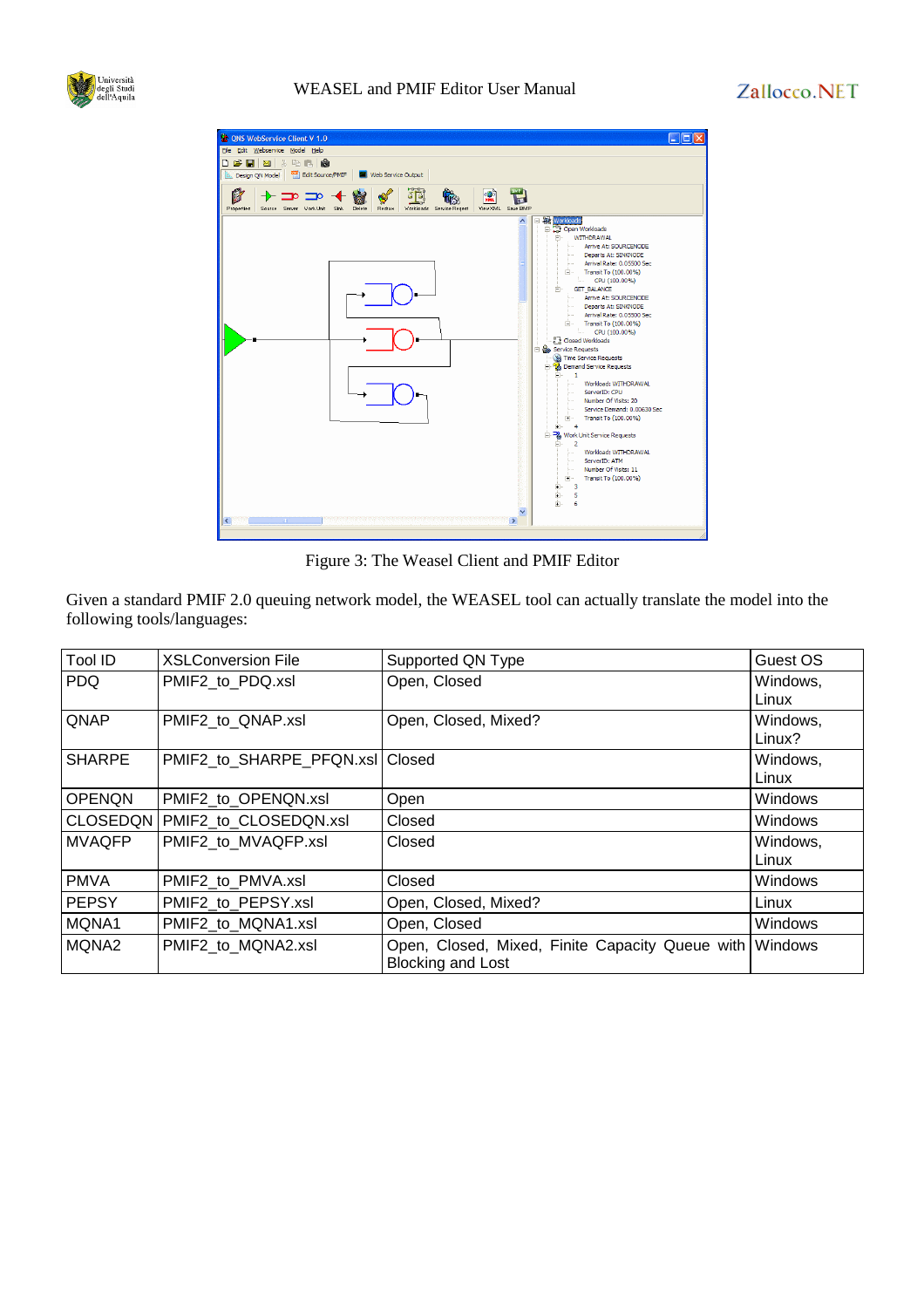

#### WEASEL and PMIF Editor User Manual



Figure 3: The Weasel Client and PMIF Editor

Given a standard PMIF 2.0 queuing network model, the WEASEL tool can actually translate the model into the following tools/languages:

| Tool ID         | <b>XSLConversion File</b>       | Supported QN Type                                                           | Guest OS           |
|-----------------|---------------------------------|-----------------------------------------------------------------------------|--------------------|
| <b>PDQ</b>      | PMIF2 to PDQ.xsl                | Open, Closed                                                                | Windows,<br>Linux  |
| QNAP            | PMIF2 to QNAP.xsl               | Open, Closed, Mixed?                                                        | Windows,<br>Linux? |
| <b>SHARPE</b>   | PMIF2_to_SHARPE_PFQN.xsl Closed |                                                                             | Windows,<br>Linux  |
| <b>OPENQN</b>   | PMIF2 to OPENQN.xsl             | Open                                                                        | Windows            |
| <b>CLOSEDQN</b> | PMIF2_to_CLOSEDQN.xsl           | Closed                                                                      | <b>Windows</b>     |
| <b>MVAQFP</b>   | PMIF2 to MVAQFP.xsl             | Closed                                                                      | Windows,<br>Linux  |
| <b>PMVA</b>     | PMIF2 to PMVA.xsl               | Closed                                                                      | Windows            |
| <b>PEPSY</b>    | PMIF2 to PEPSY.xsl              | Open, Closed, Mixed?                                                        | Linux              |
| MQNA1           | PMIF2 to MQNA1.xsl              | Open, Closed                                                                | <b>Windows</b>     |
| MQNA2           | PMIF2_to_MQNA2.xsl              | Open, Closed, Mixed, Finite Capacity Queue with<br><b>Blocking and Lost</b> | <b>Windows</b>     |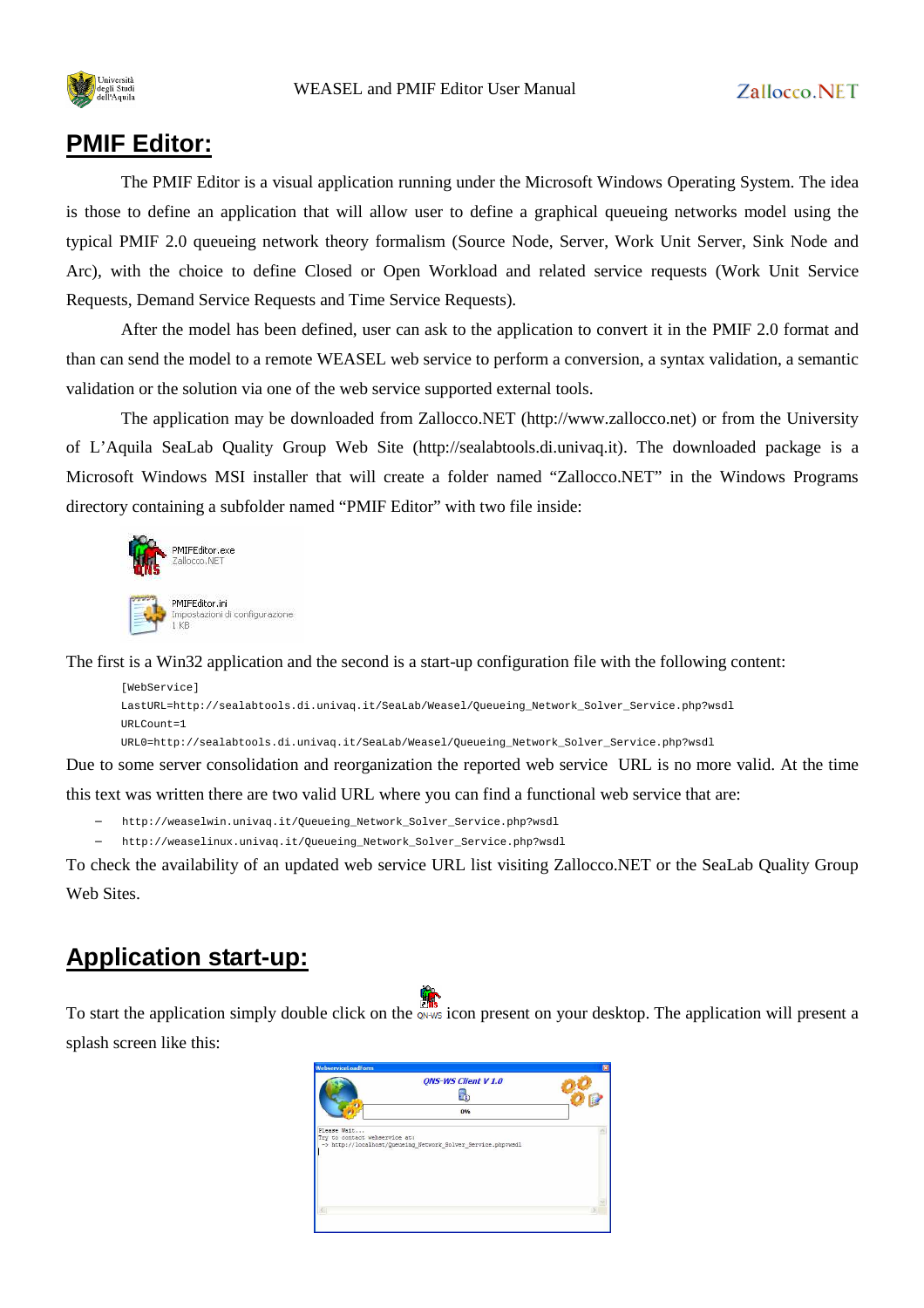

#### **PMIF Editor:**

The PMIF Editor is a visual application running under the Microsoft Windows Operating System. The idea is those to define an application that will allow user to define a graphical queueing networks model using the typical PMIF 2.0 queueing network theory formalism (Source Node, Server, Work Unit Server, Sink Node and Arc), with the choice to define Closed or Open Workload and related service requests (Work Unit Service Requests, Demand Service Requests and Time Service Requests).

After the model has been defined, user can ask to the application to convert it in the PMIF 2.0 format and than can send the model to a remote WEASEL web service to perform a conversion, a syntax validation, a semantic validation or the solution via one of the web service supported external tools.

The application may be downloaded from Zallocco.NET (http://www.zallocco.net) or from the University of L'Aquila SeaLab Quality Group Web Site (http://sealabtools.di.univaq.it). The downloaded package is a Microsoft Windows MSI installer that will create a folder named "Zallocco.NET" in the Windows Programs directory containing a subfolder named "PMIF Editor" with two file inside:



The first is a Win32 application and the second is a start-up configuration file with the following content:

```
[WebService]
LastURL=http://sealabtools.di.univaq.it/SeaLab/Weasel/Queueing_Network_Solver_Service.php?wsdl 
URLCount=1
```
URL0=http://sealabtools.di.univaq.it/SeaLab/Weasel/Queueing\_Network\_Solver\_Service.php?wsdl

Due to some server consolidation and reorganization the reported web service URL is no more valid. At the time this text was written there are two valid URL where you can find a functional web service that are:

− http://weaselwin.univaq.it/Queueing\_Network\_Solver\_Service.php?wsdl

− http://weaselinux.univaq.it/Queueing\_Network\_Solver\_Service.php?wsdl

To check the availability of an updated web service URL list visiting Zallocco.NET or the SeaLab Quality Group Web Sites.

## **Application start-up:**

To start the application simply double click on the owns icon present on your desktop. The application will present a splash screen like this:

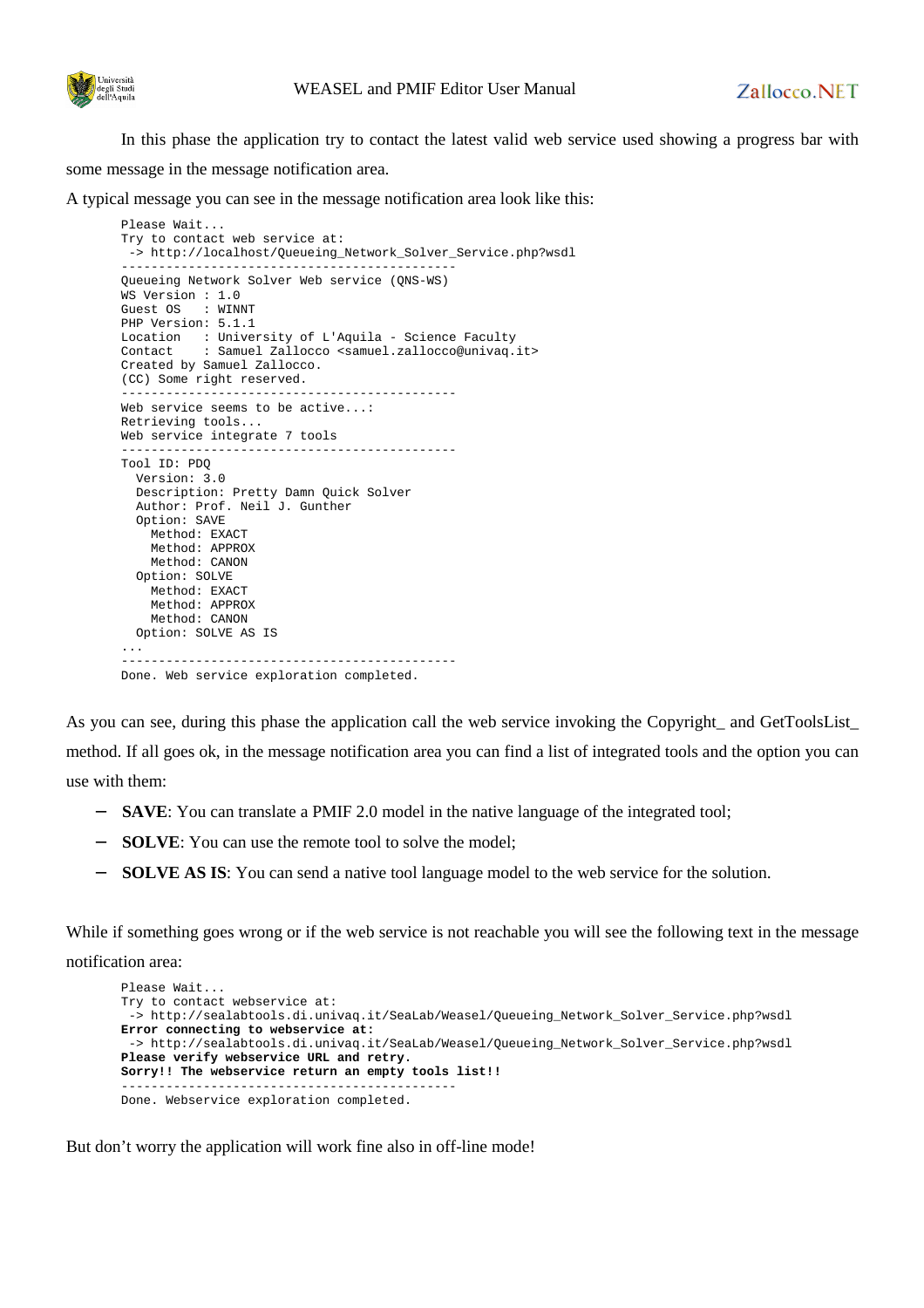

In this phase the application try to contact the latest valid web service used showing a progress bar with some message in the message notification area.

A typical message you can see in the message notification area look like this:

```
Please Wait... 
Try to contact web service at: 
  -> http://localhost/Queueing_Network_Solver_Service.php?wsdl 
--------------------------------------------- 
Queueing Network Solver Web service (QNS-WS) 
WS Version : 1.0 
Guest OS : WINNT 
PHP Version: 5.1.1 
Location : University of L'Aquila - Science Faculty 
Contact : Samuel Zallocco <samuel.zallocco@univaq.it> 
Created by Samuel Zallocco. 
(CC) Some right reserved. 
   --------------------------------------------- 
Web service seems to be active...: 
Retrieving tools... 
Web service integrate 7 tools 
--------------------------------------------- 
Tool ID: PDQ 
   Version: 3.0 
   Description: Pretty Damn Quick Solver 
   Author: Prof. Neil J. Gunther 
   Option: SAVE 
     Method: EXACT 
     Method: APPROX 
     Method: CANON 
   Option: SOLVE 
     Method: EXACT 
     Method: APPROX 
    Method: CANON 
  Option: SOLVE AS IS 
... 
Done. Web service exploration completed.
```
As you can see, during this phase the application call the web service invoking the Copyright\_ and GetToolsList\_ method. If all goes ok, in the message notification area you can find a list of integrated tools and the option you can use with them:

- **SAVE**: You can translate a PMIF 2.0 model in the native language of the integrated tool;
- **SOLVE:** You can use the remote tool to solve the model;
- **SOLVE AS IS:** You can send a native tool language model to the web service for the solution.

While if something goes wrong or if the web service is not reachable you will see the following text in the message notification area:

```
Please Wait... 
Try to contact webservice at: 
  -> http://sealabtools.di.univaq.it/SeaLab/Weasel/Queueing_Network_Solver_Service.php?wsdl 
Error connecting to webservice at: 
  -> http://sealabtools.di.univaq.it/SeaLab/Weasel/Queueing_Network_Solver_Service.php?wsdl 
Please verify webservice URL and retry. 
Sorry!! The webservice return an empty tools list!!
         --------------------------------------------- 
Done. Webservice exploration completed.
```
But don't worry the application will work fine also in off-line mode!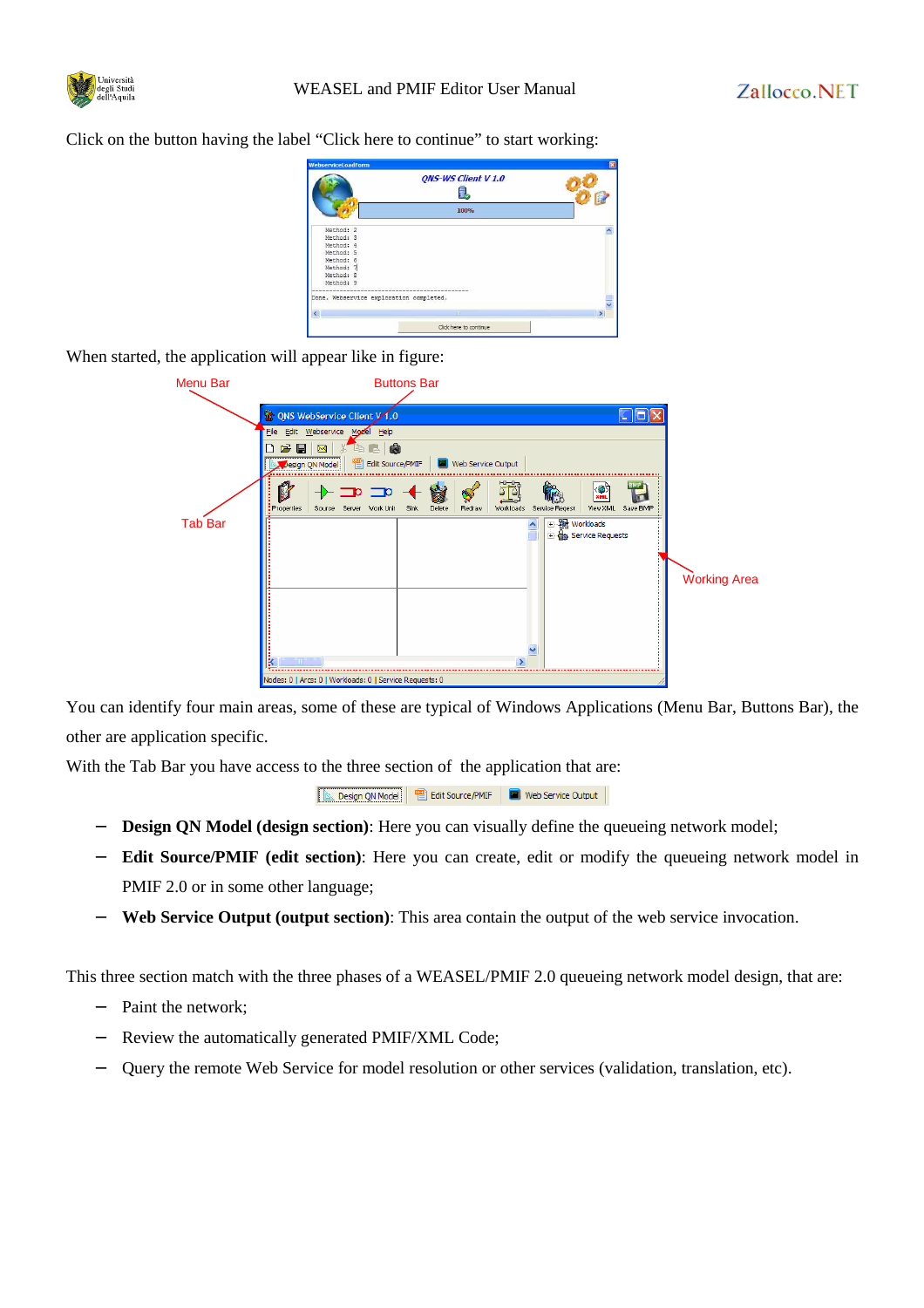

Click on the button having the label "Click here to continue" to start working:



When started, the application will appear like in figure:

| <b>Menu Bar</b> | <b>Buttons Bar</b>                                                                                                                                                                                   |                     |
|-----------------|------------------------------------------------------------------------------------------------------------------------------------------------------------------------------------------------------|---------------------|
|                 | <b>to ONS WebService Client y 1.0</b><br>$\sim$<br>File Edit Webservice Model Help<br>电自由<br>$\mathbf{B}$<br>⊠ ∦<br>◑<br>Design QN Model                                                             |                     |
| <b>Tab Bar</b>  | $+ = 2$<br>謝<br>岗<br>$\bullet$<br>Workloads Service Regest<br>Delete<br>View XML Save BMP<br>Source Server Work Unit Sink<br>Redraw<br>: Properties<br>田 图 Workloads<br><b>E</b> ea Service Requests | <b>Working Area</b> |
|                 | Nodes: 0   Arcs: 0   Workloads: 0   Service Requests: 0                                                                                                                                              |                     |

You can identify four main areas, some of these are typical of Windows Applications (Menu Bar, Buttons Bar), the other are application specific.

With the Tab Bar you have access to the three section of the application that are:

- − **Design QN Model (design section)**: Here you can visually define the queueing network model;
- − **Edit Source/PMIF (edit section)**: Here you can create, edit or modify the queueing network model in PMIF 2.0 or in some other language;
- − **Web Service Output (output section)**: This area contain the output of the web service invocation.

This three section match with the three phases of a WEASEL/PMIF 2.0 queueing network model design, that are:

- Paint the network;
- Review the automatically generated PMIF/XML Code;
- − Query the remote Web Service for model resolution or other services (validation, translation, etc).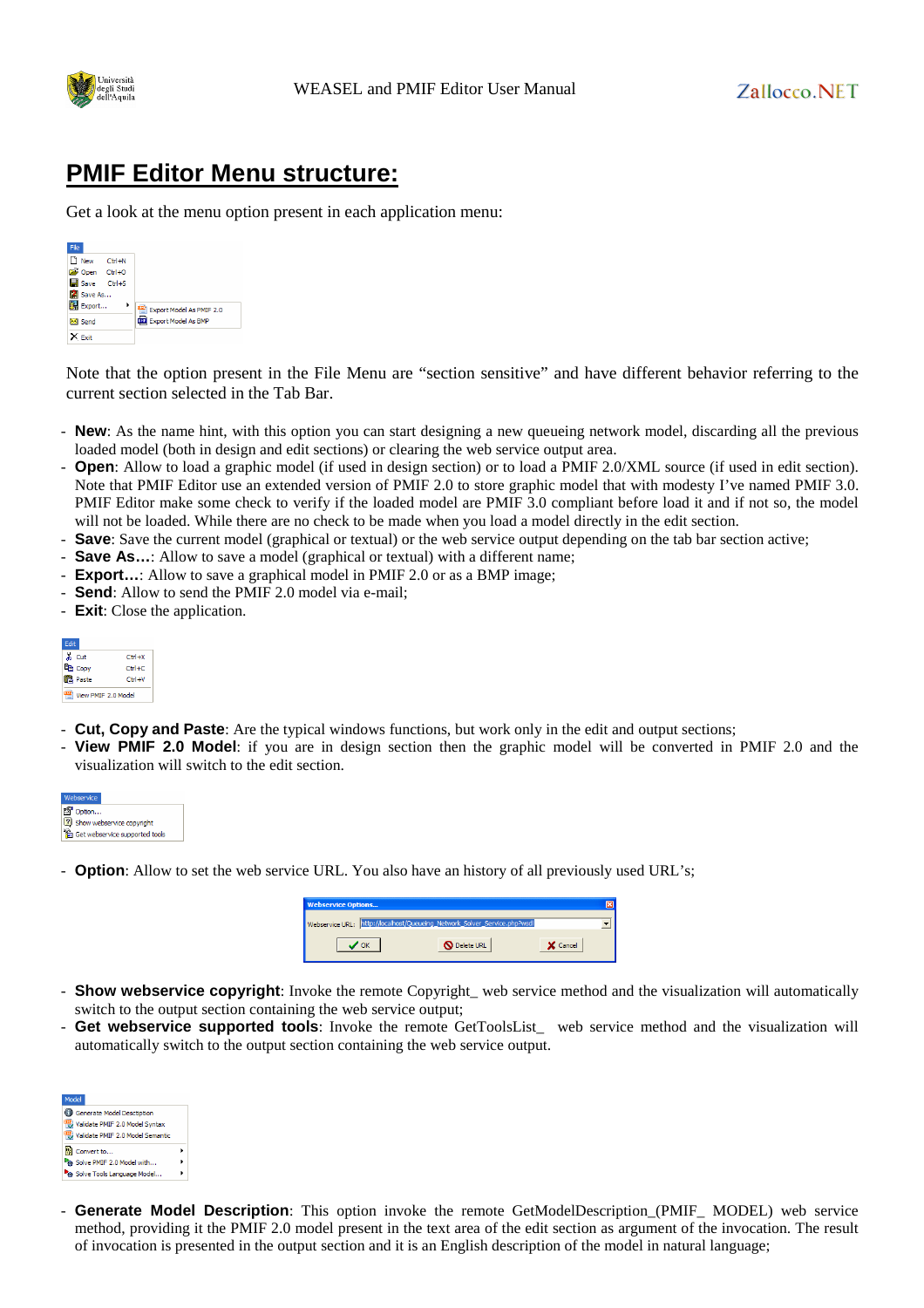

## **PMIF Editor Menu structure:**

Get a look at the menu option present in each application menu:



Note that the option present in the File Menu are "section sensitive" and have different behavior referring to the current section selected in the Tab Bar.

- **New**: As the name hint, with this option you can start designing a new queueing network model, discarding all the previous loaded model (both in design and edit sections) or clearing the web service output area.
- **Open**: Allow to load a graphic model (if used in design section) or to load a PMIF 2.0/XML source (if used in edit section). Note that PMIF Editor use an extended version of PMIF 2.0 to store graphic model that with modesty I've named PMIF 3.0. PMIF Editor make some check to verify if the loaded model are PMIF 3.0 compliant before load it and if not so, the model will not be loaded. While there are no check to be made when you load a model directly in the edit section.
- **Save**: Save the current model (graphical or textual) or the web service output depending on the tab bar section active;
- **Save As...:** Allow to save a model (graphical or textual) with a different name;
- **Export...:** Allow to save a graphical model in PMIF 2.0 or as a BMP image;
- **Send**: Allow to send the PMIF 2.0 model via e-mail;
- **Exit**: Close the application.

| <b>Fdit</b>        |              |
|--------------------|--------------|
| & Cut              | $C$ trl $+X$ |
| <b>Pa</b> Coov     | $CHH + C$    |
| <b>B.</b> Paste    | $C$ trl+V    |
| iew PMIF 2.0 Model |              |

- **Cut, Copy and Paste**: Are the typical windows functions, but work only in the edit and output sections;
- **View PMIF 2.0 Model**: if you are in design section then the graphic model will be converted in PMIF 2.0 and the visualization will switch to the edit section.



- **Option**: Allow to set the web service URL. You also have an history of all previously used URL's;

| <b>Webservice Options</b> |                                                                           |          |  |
|---------------------------|---------------------------------------------------------------------------|----------|--|
|                           | Webservice URL: http://localhost/Queueing_Network_Solver_Service.php?wsdl |          |  |
|                           | <b>Delete URL</b>                                                         | X Cancel |  |

- **Show webservice copyright**: Invoke the remote Copyright\_ web service method and the visualization will automatically switch to the output section containing the web service output;
- Get webservice supported tools: Invoke the remote GetToolsList\_ web service method and the visualization will automatically switch to the output section containing the web service output.



- **Generate Model Description**: This option invoke the remote GetModelDescription\_(PMIF\_ MODEL) web service method, providing it the PMIF 2.0 model present in the text area of the edit section as argument of the invocation. The result of invocation is presented in the output section and it is an English description of the model in natural language;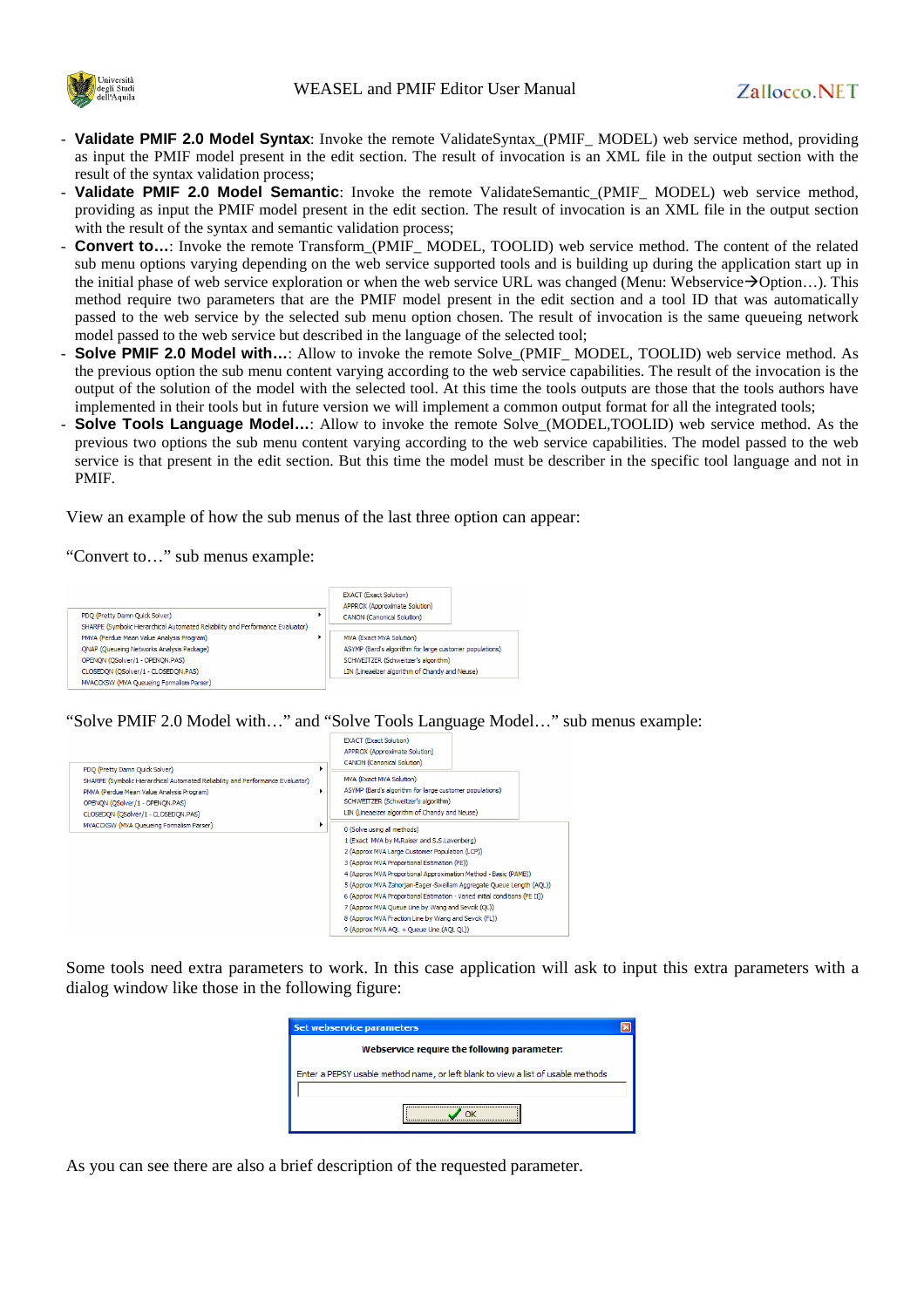

- **Validate PMIF 2.0 Model Syntax**: Invoke the remote ValidateSyntax\_(PMIF\_ MODEL) web service method, providing as input the PMIF model present in the edit section. The result of invocation is an XML file in the output section with the result of the syntax validation process;
- Validate PMIF 2.0 Model Semantic: Invoke the remote ValidateSemantic\_(PMIF\_ MODEL) web service method, providing as input the PMIF model present in the edit section. The result of invocation is an XML file in the output section with the result of the syntax and semantic validation process;
- **Convert to...**: Invoke the remote Transform\_(PMIF\_ MODEL, TOOLID) web service method. The content of the related sub menu options varying depending on the web service supported tools and is building up during the application start up in the initial phase of web service exploration or when the web service URL was changed (Menu: Webservice $\rightarrow$ Option...). This method require two parameters that are the PMIF model present in the edit section and a tool ID that was automatically passed to the web service by the selected sub menu option chosen. The result of invocation is the same queueing network model passed to the web service but described in the language of the selected tool;
- **Solve PMIF 2.0 Model with...**: Allow to invoke the remote Solve (PMIF\_ MODEL, TOOLID) web service method. As the previous option the sub menu content varying according to the web service capabilities. The result of the invocation is the output of the solution of the model with the selected tool. At this time the tools outputs are those that the tools authors have implemented in their tools but in future version we will implement a common output format for all the integrated tools;
- **Solve Tools Language Model…**: Allow to invoke the remote Solve\_(MODEL,TOOLID) web service method. As the previous two options the sub menu content varying according to the web service capabilities. The model passed to the web service is that present in the edit section. But this time the model must be describer in the specific tool language and not in PMIF.

View an example of how the sub menus of the last three option can appear:

"Convert to…" sub menus example:



"Solve PMIF 2.0 Model with…" and "Solve Tools Language Model…" sub menus example:



Some tools need extra parameters to work. In this case application will ask to input this extra parameters with a dialog window like those in the following figure:



As you can see there are also a brief description of the requested parameter.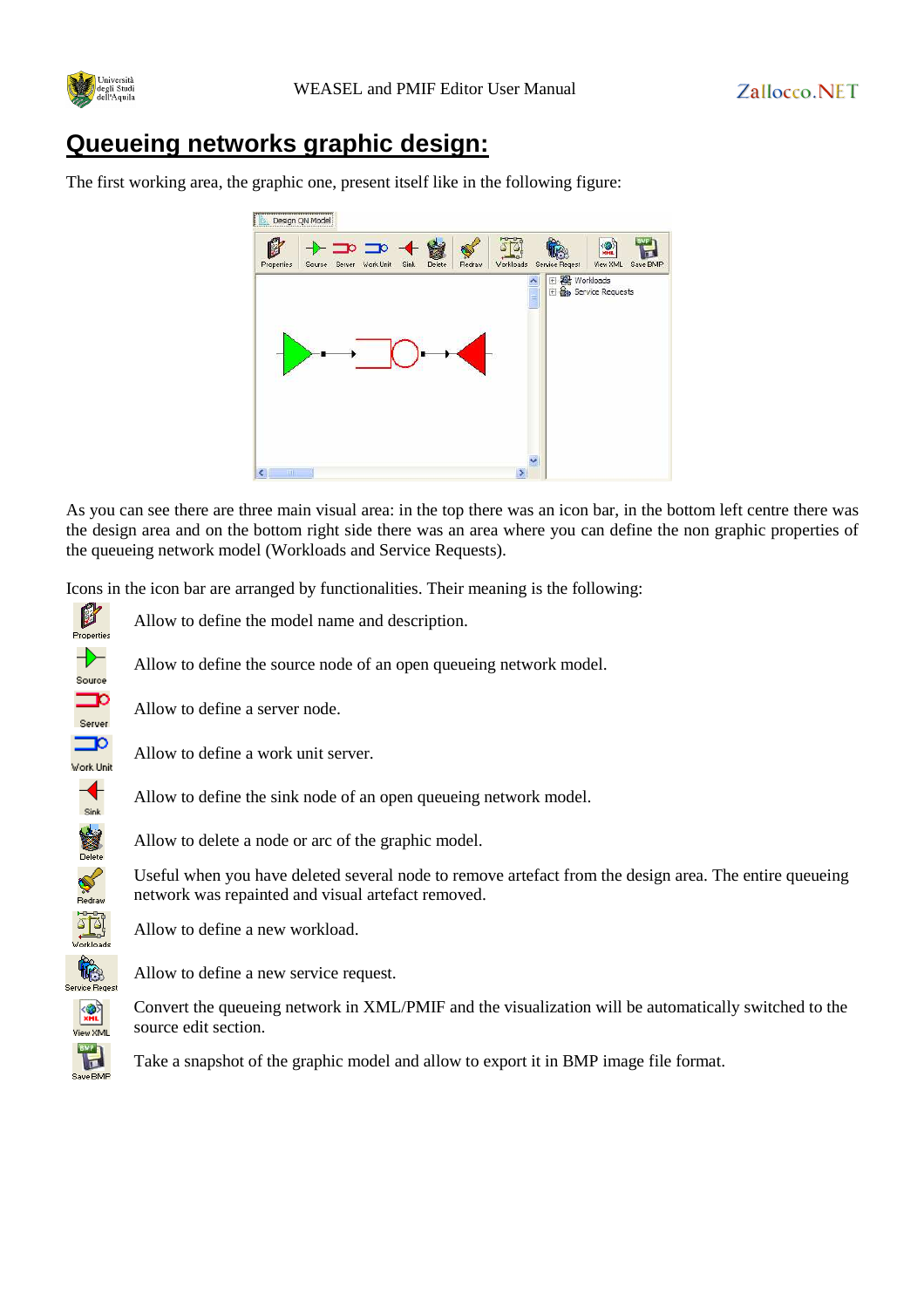

## **Queueing networks graphic design:**

The first working area, the graphic one, present itself like in the following figure:



As you can see there are three main visual area: in the top there was an icon bar, in the bottom left centre there was the design area and on the bottom right side there was an area where you can define the non graphic properties of the queueing network model (Workloads and Service Requests).

Icons in the icon bar are arranged by functionalities. Their meaning is the following:



Allow to define the model name and description.

Allow to define the source node of an open queueing network model.

Allow to define a server node.

Allow to define a work unit server.

Allow to define the sink node of an open queueing network model.

Allow to delete a node or arc of the graphic model.

Useful when you have deleted several node to remove artefact from the design area. The entire queueing network was repainted and visual artefact removed.

Allow to define a new workload.

Allow to define a new service request.

Convert the queueing network in XML/PMIF and the visualization will be automatically switched to the source edit section.

Take a snapshot of the graphic model and allow to export it in BMP image file format.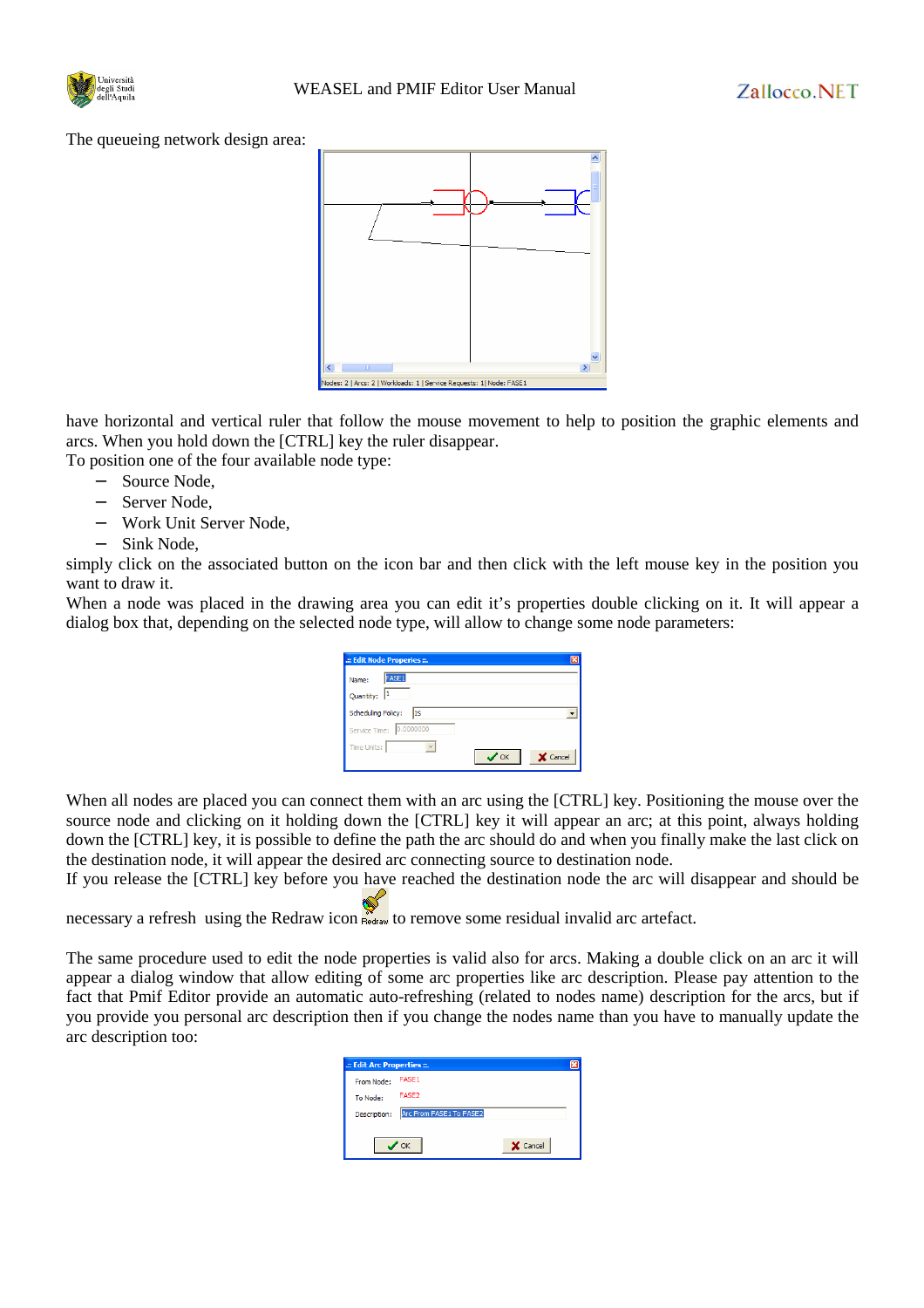

The queueing network design area:



have horizontal and vertical ruler that follow the mouse movement to help to position the graphic elements and arcs. When you hold down the [CTRL] key the ruler disappear.

To position one of the four available node type:

- − Source Node,
- − Server Node,
- − Work Unit Server Node,
- − Sink Node,

simply click on the associated button on the icon bar and then click with the left mouse key in the position you want to draw it.

When a node was placed in the drawing area you can edit it's properties double clicking on it. It will appear a dialog box that, depending on the selected node type, will allow to change some node parameters:

| : Edit Node Properies ::.               |            |          |
|-----------------------------------------|------------|----------|
| FASE <sub>1</sub><br>Name:<br>Quantity: |            |          |
| <b>Scheduling Policy:</b><br>IS         |            |          |
| 0.0000000<br>Service Time:              |            |          |
| <b>Time Units:</b>                      | $\sqrt{6}$ | X Cancel |

When all nodes are placed you can connect them with an arc using the [CTRL] key. Positioning the mouse over the source node and clicking on it holding down the [CTRL] key it will appear an arc; at this point, always holding down the [CTRL] key, it is possible to define the path the arc should do and when you finally make the last click on the destination node, it will appear the desired arc connecting source to destination node.

If you release the [CTRL] key before you have reached the destination node the arc will disappear and should be

necessary a refresh using the Redraw icon Redraw to remove some residual invalid arc artefact.

The same procedure used to edit the node properties is valid also for arcs. Making a double click on an arc it will appear a dialog window that allow editing of some arc properties like arc description. Please pay attention to the fact that Pmif Editor provide an automatic auto-refreshing (related to nodes name) description for the arcs, but if you provide you personal arc description then if you change the nodes name than you have to manually update the arc description too:

| .:: Edit Arc Properties ::. |                         |          |  |
|-----------------------------|-------------------------|----------|--|
| From Node:                  | FASE1                   |          |  |
| To Node:                    | FASE <sub>2</sub>       |          |  |
| Description:                | Arc From FASE1 To FASE2 |          |  |
|                             |                         |          |  |
|                             |                         | X Cancel |  |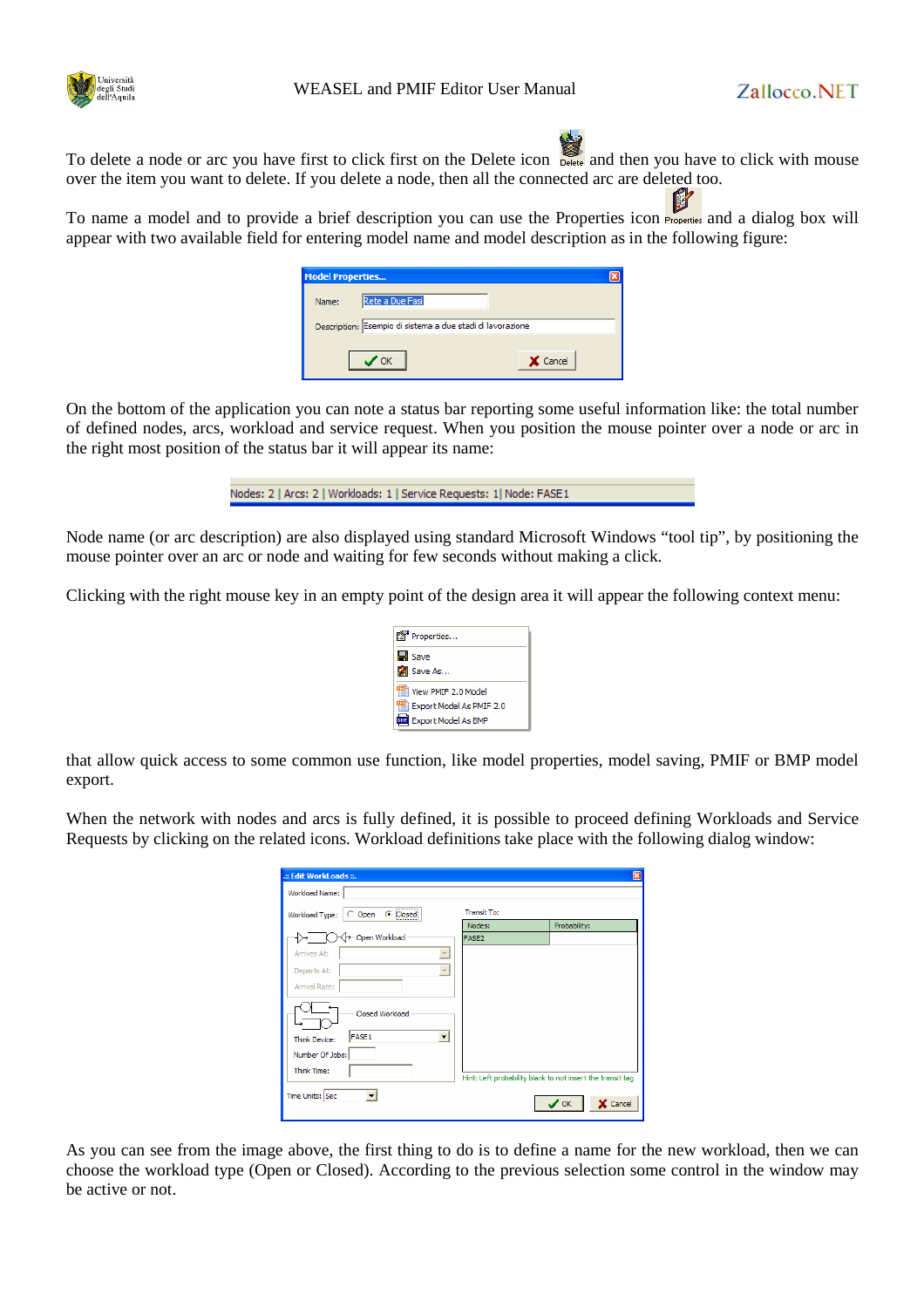



To delete a node or arc you have first to click first on the Delete icon **Relete** and then you have to click with mouse over the item you want to delete. If you delete a node, then all the connected arc are deleted too.

To name a model and to provide a brief description you can use the Properties icon **Properties** and a dialog box will appear with two available field for entering model name and model description as in the following figure:

| <b>Model Properties</b> |                                                            |  |
|-------------------------|------------------------------------------------------------|--|
| Name:                   | Rete a Due Fasi                                            |  |
|                         | Description: Esempio di sistema a due stadi di lavorazione |  |
|                         | X Cancel<br>OK                                             |  |

On the bottom of the application you can note a status bar reporting some useful information like: the total number of defined nodes, arcs, workload and service request. When you position the mouse pointer over a node or arc in the right most position of the status bar it will appear its name:

| Nodes: 2   Arcs: 2   Workloads: 1   Service Requests: 1   Node: FASE1 |  |
|-----------------------------------------------------------------------|--|

Node name (or arc description) are also displayed using standard Microsoft Windows "tool tip", by positioning the mouse pointer over an arc or node and waiting for few seconds without making a click.

Clicking with the right mouse key in an empty point of the design area it will appear the following context menu:

| 图 Properties                             |
|------------------------------------------|
| $\blacksquare$ Save                      |
| Save As                                  |
| $\frac{1000}{1000}$ View PMIF 2.0 Model  |
| <sup>#됄</sup> l Export Model As PMIF 2.0 |
| <b>BIR</b> Export Model As BMP           |

that allow quick access to some common use function, like model properties, model saving, PMIF or BMP model export.

When the network with nodes and arcs is fully defined, it is possible to proceed defining Workloads and Service Requests by clicking on the related icons. Workload definitions take place with the following dialog window:

| : Edit WorkLoads                                   |                    | ⊠                                                          |
|----------------------------------------------------|--------------------|------------------------------------------------------------|
| Workload Name:                                     |                    |                                                            |
| O Open C Closed<br>Workload Type:                  | <b>Transit To:</b> |                                                            |
|                                                    | Nodes:             | Probability:                                               |
| √→ Open Workload                                   | FASE <sub>2</sub>  |                                                            |
| Arrives At:<br>$\overline{\mathcal{N}}$            |                    |                                                            |
| Departs At:                                        |                    |                                                            |
| Arrival Rate:                                      |                    |                                                            |
| Closed Workload                                    |                    |                                                            |
| FASE1<br>$\overline{\phantom{a}}$<br>Think Device: |                    |                                                            |
| Number Of Jobs:                                    |                    |                                                            |
| Think Time:                                        |                    | Hint: Left probability blank to not insert the transit tag |
|                                                    |                    |                                                            |
| Time Units: Sec                                    |                    | $\boldsymbol{\mathcal{S}}$ ok<br>X Cancel                  |

As you can see from the image above, the first thing to do is to define a name for the new workload, then we can choose the workload type (Open or Closed). According to the previous selection some control in the window may be active or not.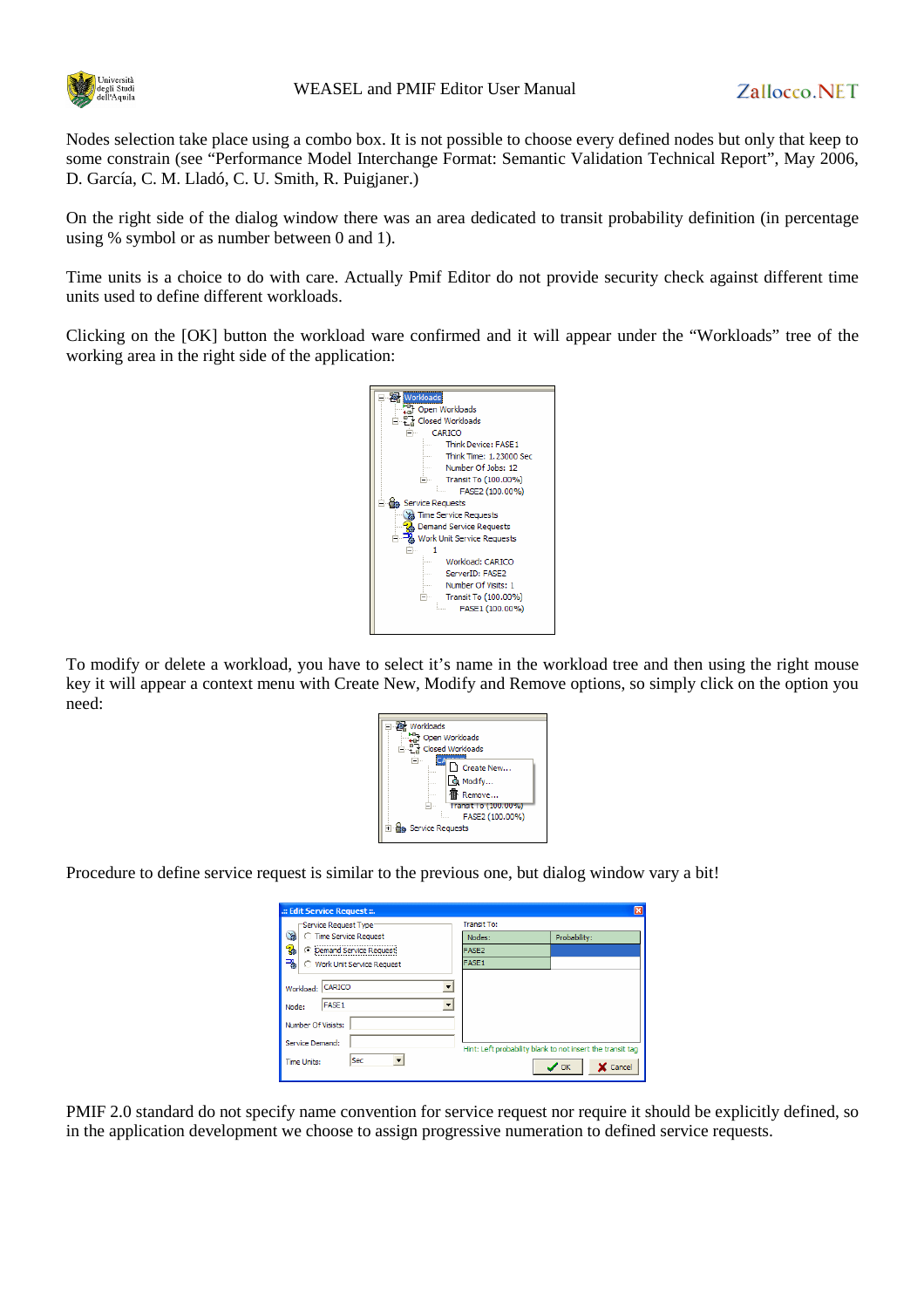

Nodes selection take place using a combo box. It is not possible to choose every defined nodes but only that keep to some constrain (see "Performance Model Interchange Format: Semantic Validation Technical Report", May 2006, D. García, C. M. Lladó, C. U. Smith, R. Puigjaner.)

On the right side of the dialog window there was an area dedicated to transit probability definition (in percentage using % symbol or as number between 0 and 1).

Time units is a choice to do with care. Actually Pmif Editor do not provide security check against different time units used to define different workloads.

Clicking on the [OK] button the workload ware confirmed and it will appear under the "Workloads" tree of the working area in the right side of the application:



To modify or delete a workload, you have to select it's name in the workload tree and then using the right mouse key it will appear a context menu with Create New, Modify and Remove options, so simply click on the option you need:

| Workloads                    |
|------------------------------|
| - The Workloads              |
| □ 문급 Closed Workloads        |
|                              |
| Create New<br>----           |
| <b>Q</b> Modify              |
|                              |
| Remove                       |
| Transit To (100.00%)         |
| FASE2 (100.00%)              |
| <b>E</b> da Service Requests |
|                              |

Procedure to define service request is similar to the previous one, but dialog window vary a bit!

| : Edit Service Request ::.                                                                                                                       |                                                            | ×                          |
|--------------------------------------------------------------------------------------------------------------------------------------------------|------------------------------------------------------------|----------------------------|
| "Service Request Type"                                                                                                                           | <b>Transit To:</b>                                         |                            |
| Y.<br><b>C</b> Time Service Request                                                                                                              | Nodes:                                                     | Probability:               |
| g,<br>C Demand Service Request                                                                                                                   | FASE <sub>2</sub>                                          |                            |
| ₹<br>○ Work Unit Service Request                                                                                                                 | FASE <sub>1</sub>                                          |                            |
| Workload: CARICO<br>▼<br>$\overline{\phantom{a}}$<br><b>FASE1</b><br>Node:<br>Number Of Visists:<br>Service Demand:<br>Sec<br><b>Time Units:</b> | Hint: Left probability blank to not insert the transit tag | $\mathcal{S}$ ok<br>Cancel |

PMIF 2.0 standard do not specify name convention for service request nor require it should be explicitly defined, so in the application development we choose to assign progressive numeration to defined service requests.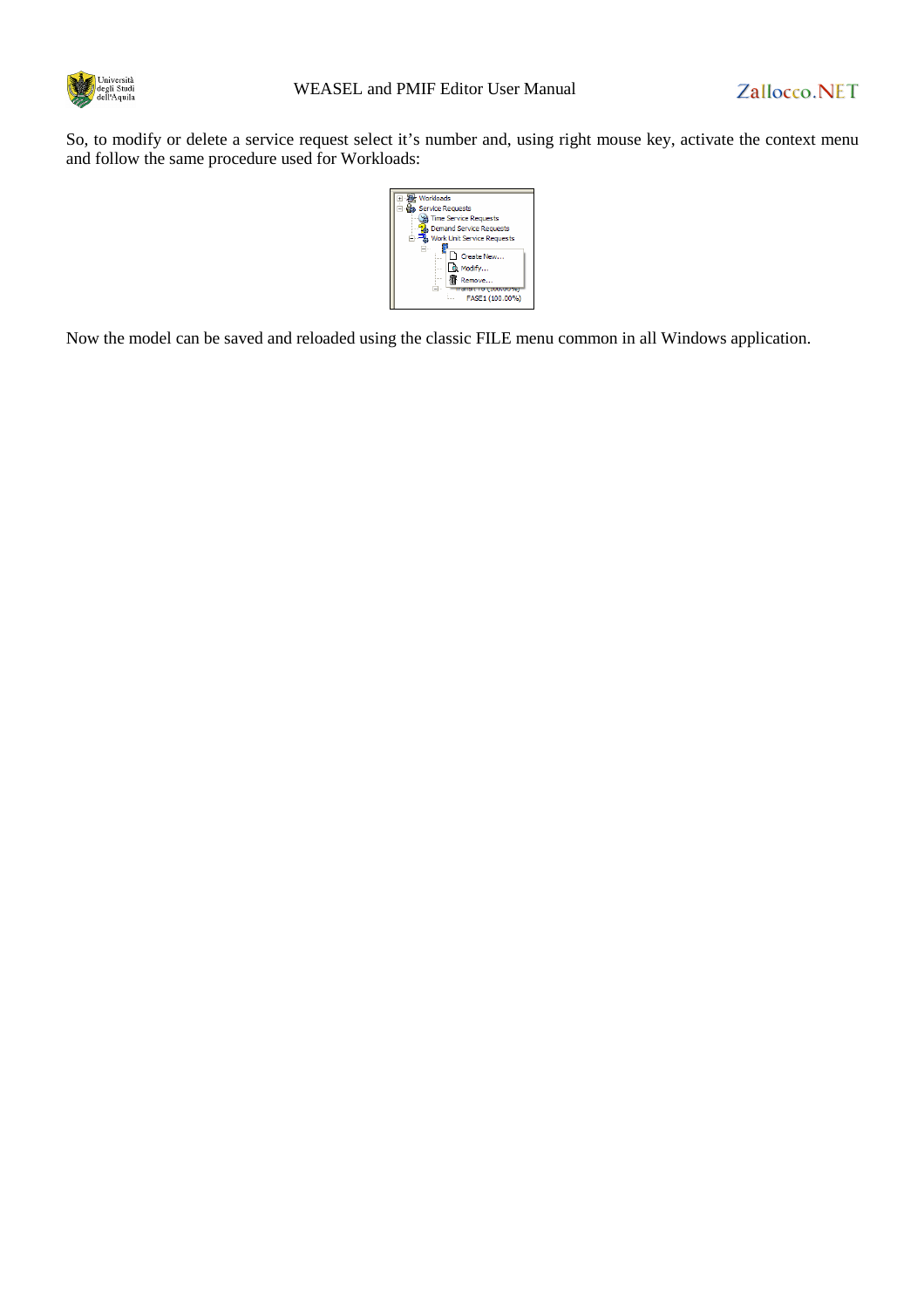

So, to modify or delete a service request select it's number and, using right mouse key, activate the context menu and follow the same procedure used for Workloads:

| Workloads                         |
|-----------------------------------|
| <b>B</b> Ca Service Requests      |
| <b>Time Service Requests</b>      |
| <b>Demand Service Requests</b>    |
| <b>Work Unit Service Requests</b> |
|                                   |
| Create New                        |
| Q. Modify<br>1.1.1.1              |
| Remove<br><b>STATISTICS</b>       |
| drisit TO 1100.00767              |
| FASE1 (100.00%)                   |
|                                   |

Now the model can be saved and reloaded using the classic FILE menu common in all Windows application.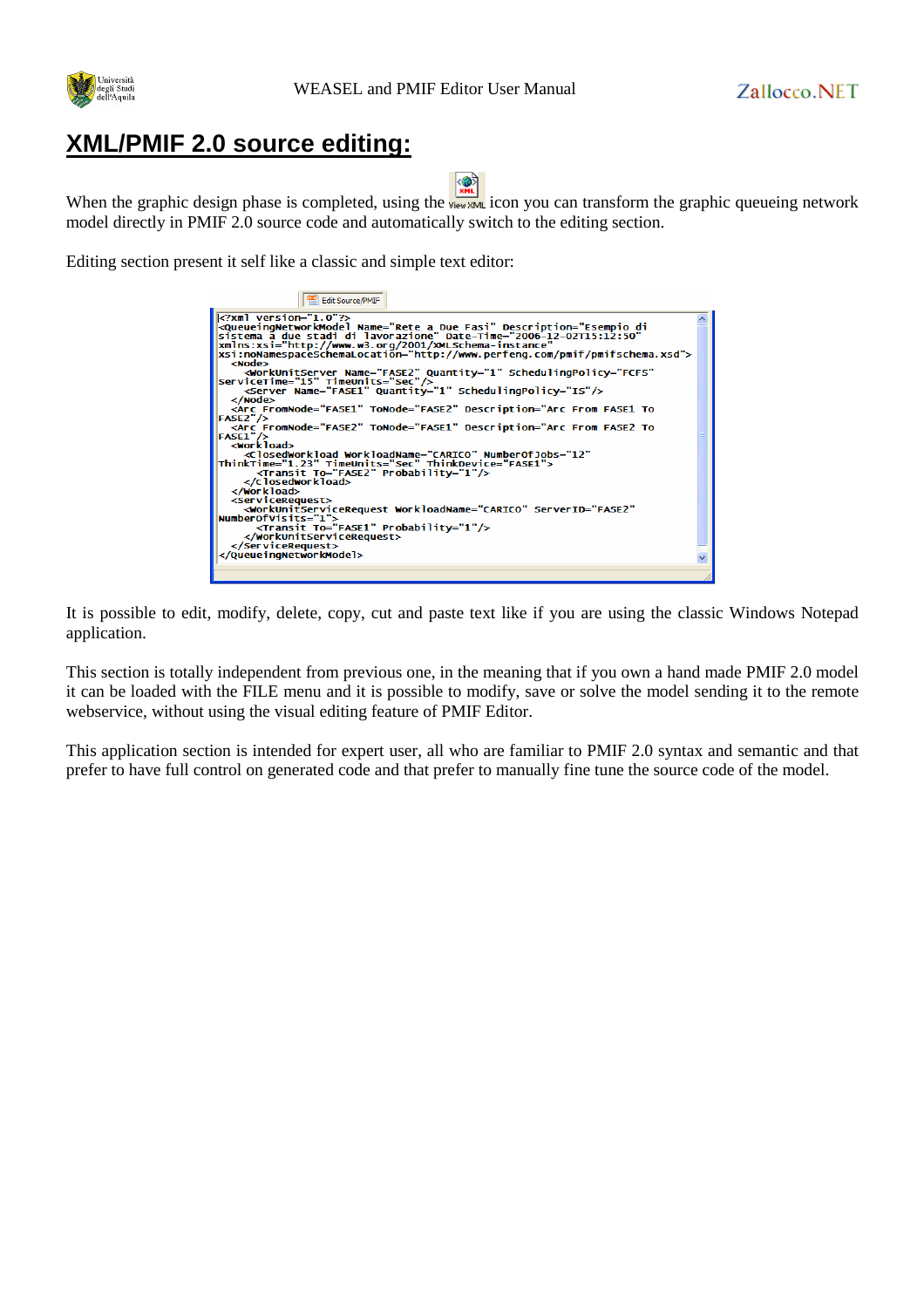

#### **XML/PMIF 2.0 source editing:**

| ---- |  |
|------|--|

When the graphic design phase is completed, using the view XML icon you can transform the graphic queueing network model directly in PMIF 2.0 source code and automatically switch to the editing section.

Editing section present it self like a classic and simple text editor:

| Edit Source/PMIF                                                                                                                                                                                                                                                                                                                                                                                                                                                                                                                                                                                                                                                                                                                                                                                                                                                                                                                                                                                                                                                                                                                                                                                                                                                                                                                                      |  |
|-------------------------------------------------------------------------------------------------------------------------------------------------------------------------------------------------------------------------------------------------------------------------------------------------------------------------------------------------------------------------------------------------------------------------------------------------------------------------------------------------------------------------------------------------------------------------------------------------------------------------------------------------------------------------------------------------------------------------------------------------------------------------------------------------------------------------------------------------------------------------------------------------------------------------------------------------------------------------------------------------------------------------------------------------------------------------------------------------------------------------------------------------------------------------------------------------------------------------------------------------------------------------------------------------------------------------------------------------------|--|
| $\leq$ ?xml version="1.0"?><br><queueinqnetworkmodel <br="" date-time="2006-12-02T15:12:50" description="Esempio di&lt;br&gt;sistema a due stadi di lavorazione" name="Rete a Due Fasi">xmlns:xsi="http://www.w3.org/2001/XMLSchema-instance"<br/>xsi:noNamespaceSchemaLocation="http://www.perfeng.com/pmif/pmifschema.xsd"&gt;<br/><node><br/><workunitserver <br="" name="FASE2" quantity="1" schedulinqpolicy="FCFS">ServiceTime="15" TimeUnits="Sec"/&gt;<br/><server name="FASE1" quantity="1" schedulingpolicy="IS"></server><br/><math>\langle</math>/Node&gt;<br/><arc <="" description="Arc From FASE1 To&lt;br&gt;&lt;math&gt;FASE2" fromnode="FASE1" math="" tonode="FASE2">/&gt;<br/><arc <="" description="Arc From FASE2 To&lt;br&gt;&lt;math&gt;FASE1" fromnode="FASE2" math="" tonode="FASE1">/&gt;<br/><workload><br/><closedworkload <br="" numberofjobs="12" workloadname="CARICO">ThinkTime="1.23" TimeUnits="Sec" ThinkDevice="FASE1"&gt;<br/><transit probability="1" to="FASE2"></transit><br/></closedworkload><br/></workload><br/><servicerequest><br/><workunitservicerequest <br="" serverid="FASE2" workloadname="CARICO">NumberOfVisits="1"&gt;<br/><transit probability="1" to="FASE1"></transit><br/></workunitservicerequest><br/></servicerequest><br/></arc></arc></workunitserver></node></queueinqnetworkmodel> |  |
|                                                                                                                                                                                                                                                                                                                                                                                                                                                                                                                                                                                                                                                                                                                                                                                                                                                                                                                                                                                                                                                                                                                                                                                                                                                                                                                                                       |  |

It is possible to edit, modify, delete, copy, cut and paste text like if you are using the classic Windows Notepad application.

This section is totally independent from previous one, in the meaning that if you own a hand made PMIF 2.0 model it can be loaded with the FILE menu and it is possible to modify, save or solve the model sending it to the remote webservice, without using the visual editing feature of PMIF Editor.

This application section is intended for expert user, all who are familiar to PMIF 2.0 syntax and semantic and that prefer to have full control on generated code and that prefer to manually fine tune the source code of the model.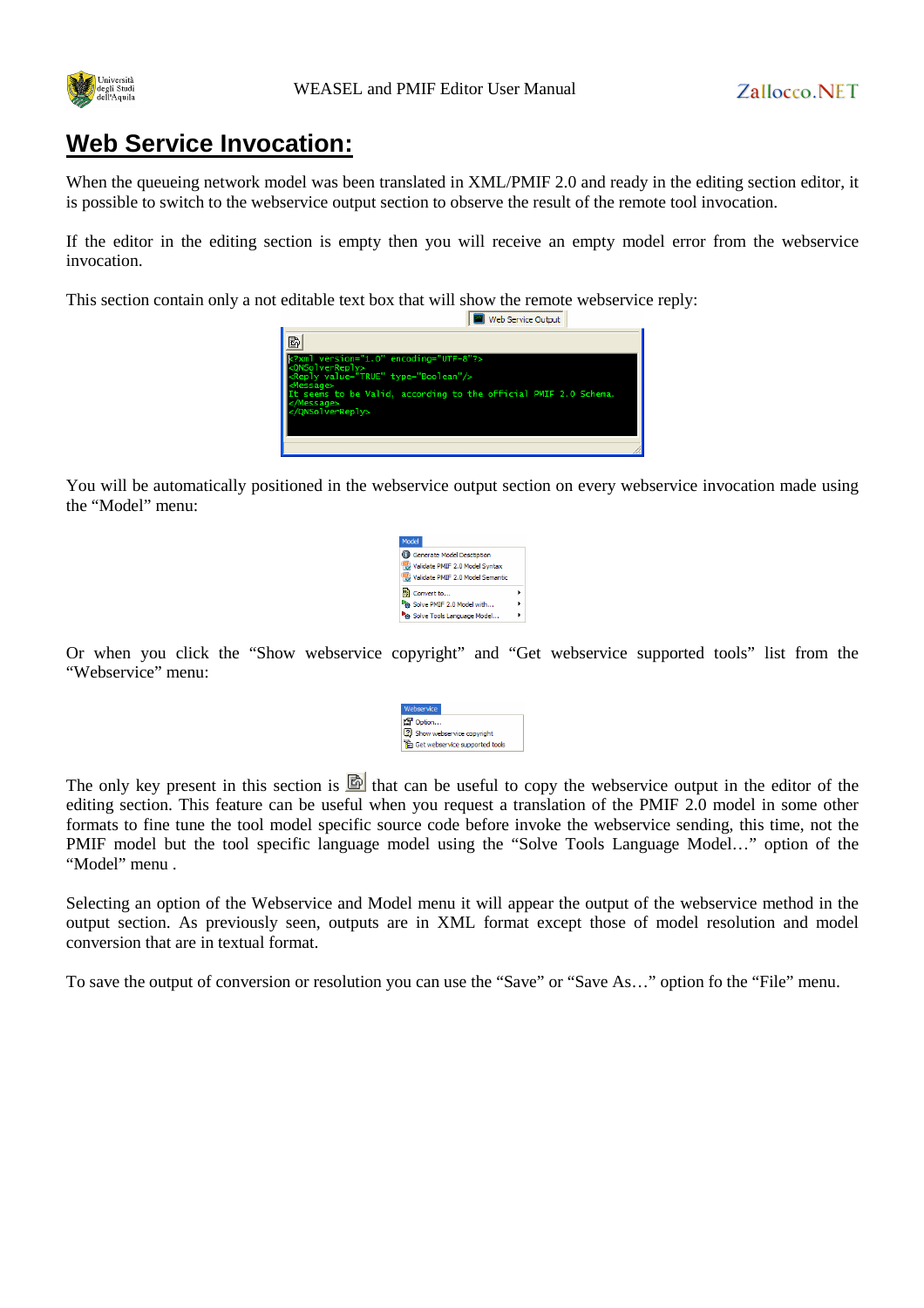

# **Web Service Invocation:**

When the queueing network model was been translated in XML/PMIF 2.0 and ready in the editing section editor, it is possible to switch to the webservice output section to observe the result of the remote tool invocation.

If the editor in the editing section is empty then you will receive an empty model error from the webservice invocation.

This section contain only a not editable text box that will show the remote webservice reply:



You will be automatically positioned in the webservice output section on every webservice invocation made using the "Model" menu:



Or when you click the "Show webservice copyright" and "Get webservice supported tools" list from the "Webservice" menu:

| Webservice |                                |  |
|------------|--------------------------------|--|
|            | <b>Par</b> Option              |  |
|            | 2 Show webservice copyright    |  |
|            | Get webservice supported tools |  |
|            |                                |  |

The only key present in this section is  $\mathbb{B}$  that can be useful to copy the webservice output in the editor of the editing section. This feature can be useful when you request a translation of the PMIF 2.0 model in some other formats to fine tune the tool model specific source code before invoke the webservice sending, this time, not the PMIF model but the tool specific language model using the "Solve Tools Language Model…" option of the "Model" menu .

Selecting an option of the Webservice and Model menu it will appear the output of the webservice method in the output section. As previously seen, outputs are in XML format except those of model resolution and model conversion that are in textual format.

To save the output of conversion or resolution you can use the "Save" or "Save As…" option fo the "File" menu.